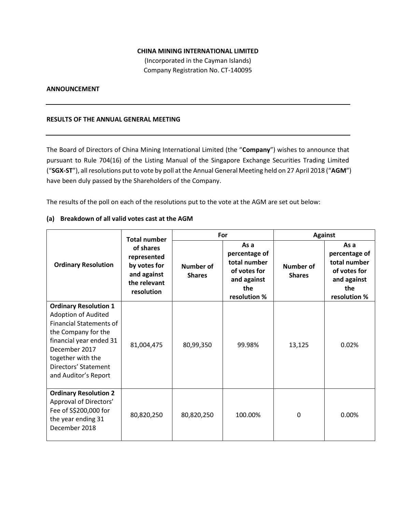## **CHINA MINING INTERNATIONAL LIMITED**

(Incorporated in the Cayman Islands) Company Registration No. CT-140095

## **ANNOUNCEMENT**

### **RESULTS OF THE ANNUAL GENERAL MEETING**

The Board of Directors of China Mining International Limited (the "**Company**") wishes to announce that pursuant to Rule 704(16) of the Listing Manual of the Singapore Exchange Securities Trading Limited ("**SGX-ST**"), all resolutions put to vote by poll at the Annual General Meeting held on 27 April 2018 ("**AGM**") have been duly passed by the Shareholders of the Company.

The results of the poll on each of the resolutions put to the vote at the AGM are set out below:

### **(a) Breakdown of all valid votes cast at the AGM**

|                                                                                                                                                                                                                                      | <b>Total number</b>                                                                   | For                        |                                                                                             | <b>Against</b>             |                                                                                             |
|--------------------------------------------------------------------------------------------------------------------------------------------------------------------------------------------------------------------------------------|---------------------------------------------------------------------------------------|----------------------------|---------------------------------------------------------------------------------------------|----------------------------|---------------------------------------------------------------------------------------------|
| <b>Ordinary Resolution</b>                                                                                                                                                                                                           | of shares<br>represented<br>by votes for<br>and against<br>the relevant<br>resolution | Number of<br><b>Shares</b> | As a<br>percentage of<br>total number<br>of votes for<br>and against<br>the<br>resolution % | Number of<br><b>Shares</b> | As a<br>percentage of<br>total number<br>of votes for<br>and against<br>the<br>resolution % |
| <b>Ordinary Resolution 1</b><br><b>Adoption of Audited</b><br><b>Financial Statements of</b><br>the Company for the<br>financial year ended 31<br>December 2017<br>together with the<br>Directors' Statement<br>and Auditor's Report | 81,004,475                                                                            | 80,99,350                  | 99.98%                                                                                      | 13,125                     | 0.02%                                                                                       |
| <b>Ordinary Resolution 2</b><br>Approval of Directors'<br>Fee of S\$200,000 for<br>the year ending 31<br>December 2018                                                                                                               | 80,820,250                                                                            | 80,820,250                 | 100.00%                                                                                     | 0                          | $0.00\%$                                                                                    |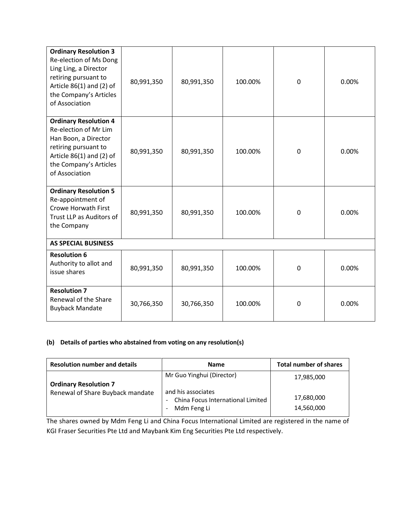| <b>Ordinary Resolution 3</b><br>Re-election of Ms Dong<br>Ling Ling, a Director<br>retiring pursuant to<br>Article $86(1)$ and (2) of<br>the Company's Articles<br>of Association | 80,991,350 | 80,991,350 | 100.00% | $\mathbf 0$ | 0.00% |  |  |
|-----------------------------------------------------------------------------------------------------------------------------------------------------------------------------------|------------|------------|---------|-------------|-------|--|--|
| <b>Ordinary Resolution 4</b><br>Re-election of Mr Lim<br>Han Boon, a Director<br>retiring pursuant to<br>Article $86(1)$ and (2) of<br>the Company's Articles<br>of Association   | 80,991,350 | 80,991,350 | 100.00% | $\mathbf 0$ | 0.00% |  |  |
| <b>Ordinary Resolution 5</b><br>Re-appointment of<br><b>Crowe Horwath First</b><br>Trust LLP as Auditors of<br>the Company                                                        | 80,991,350 | 80,991,350 | 100.00% | 0           | 0.00% |  |  |
| <b>AS SPECIAL BUSINESS</b>                                                                                                                                                        |            |            |         |             |       |  |  |
| <b>Resolution 6</b><br>Authority to allot and<br>issue shares                                                                                                                     | 80,991,350 | 80,991,350 | 100.00% | $\mathbf 0$ | 0.00% |  |  |
| <b>Resolution 7</b><br>Renewal of the Share<br><b>Buyback Mandate</b>                                                                                                             | 30,766,350 | 30,766,350 | 100.00% | $\mathbf 0$ | 0.00% |  |  |

# **(b) Details of parties who abstained from voting on any resolution(s)**

| <b>Resolution number and details</b> | <b>Name</b>                                                            | <b>Total number of shares</b> |
|--------------------------------------|------------------------------------------------------------------------|-------------------------------|
| <b>Ordinary Resolution 7</b>         | Mr Guo Yinghui (Director)                                              | 17,985,000                    |
| Renewal of Share Buyback mandate     | and his associates<br>China Focus International Limited<br>Mdm Feng Li | 17,680,000<br>14,560,000      |

The shares owned by Mdm Feng Li and China Focus International Limited are registered in the name of KGI Fraser Securities Pte Ltd and Maybank Kim Eng Securities Pte Ltd respectively.